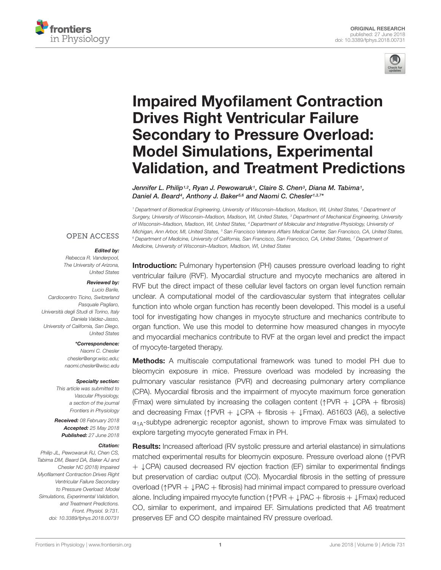



# Impaired Myofilament Contraction Drives Right Ventricular Failure Secondary to Pressure Overload: Model Simulations, Experimental Validation, and Treatment Predictions

*Jennifer L. Philip1,2, Ryan J. Pewowaruk1, Claire S. Chen3, Diana M. Tabima1, Daniel A. Beard4, Anthony J. Baker5,6 and Naomi C. Chesler1,3,7\**

*<sup>1</sup> Department of Biomedical Engineering, University of Wisconsin–Madison, Madison, WI, United States, <sup>2</sup> Department of Surgery, University of Wisconsin–Madison, Madison, WI, United States, <sup>3</sup> Department of Mechanical Engineering, University of Wisconsin–Madison, Madison, WI, United States, <sup>4</sup> Department of Molecular and Integrative Physiology, University of Michigan, Ann Arbor, MI, United States, <sup>5</sup> San Francisco Veterans Affairs Medical Center, San Francisco, CA, United States, <sup>6</sup> Department of Medicine, University of California, San Francisco, San Francisco, CA, United States, <sup>7</sup> Department of Medicine, University of Wisconsin–Madison, Madison, WI, United States*

#### **OPEN ACCESS**

#### *Edited by:*

*Rebecca R. Vanderpool, The University of Arizona, United States*

#### *Reviewed by:*

*Lucio Barile, Cardiocentro Ticino, Switzerland Pasquale Pagliaro, Università degli Studi di Torino, Italy Daniela Valdez-Jasso, University of California, San Diego, United States*

> *\*Correspondence: Naomi C. Chesler chesler@engr.wisc.edu; naomi.chesler@wisc.edu*

#### *Specialty section:*

*This article was submitted to Vascular Physiology, a section of the journal Frontiers in Physiology*

*Received: 08 February 2018 Accepted: 25 May 2018 Published: 27 June 2018*

#### *Citation:*

*Philip JL, Pewowaruk RJ, Chen CS, Tabima DM, Beard DA, Baker AJ and Chesler NC (2018) Impaired Myofilament Contraction Drives Right Ventricular Failure Secondary to Pressure Overload: Model Simulations, Experimental Validation, and Treatment Predictions. Front. Physiol. 9:731. doi: 10.3389/fphys.2018.00731*

**Introduction:** Pulmonary hypertension (PH) causes pressure overload leading to right ventricular failure (RVF). Myocardial structure and myocyte mechanics are altered in RVF but the direct impact of these cellular level factors on organ level function remain unclear. A computational model of the cardiovascular system that integrates cellular function into whole organ function has recently been developed. This model is a useful tool for investigating how changes in myocyte structure and mechanics contribute to organ function. We use this model to determine how measured changes in myocyte and myocardial mechanics contribute to RVF at the organ level and predict the impact of myocyte-targeted therapy.

**Methods:** A multiscale computational framework was tuned to model PH due to bleomycin exposure in mice. Pressure overload was modeled by increasing the pulmonary vascular resistance (PVR) and decreasing pulmonary artery compliance (CPA). Myocardial fibrosis and the impairment of myocyte maximum force generation (Fmax) were simulated by increasing the collagen content ( $\uparrow$ PVR +  $\downarrow$ CPA + fibrosis) and decreasing Fmax ( $\uparrow$ PVR +  $\downarrow$ CPA + fibrosis +  $\downarrow$ Fmax). A61603 (A6), a selective  $\alpha_{1A}$ -subtype adrenergic receptor agonist, shown to improve Fmax was simulated to explore targeting myocyte generated Fmax in PH.

**Results:** Increased afterload (RV systolic pressure and arterial elastance) in simulations matched experimental results for bleomycin exposure. Pressure overload alone ( $\uparrow$ PVR  $+$   $\downarrow$  CPA) caused decreased RV ejection fraction (EF) similar to experimental findings but preservation of cardiac output (CO). Myocardial fibrosis in the setting of pressure overload ( $\uparrow$ PVR +  $\downarrow$ PAC + fibrosis) had minimal impact compared to pressure overload alone. Including impaired myocyte function ( $\uparrow$  PVR +  $\downarrow$  PAC + fibrosis +  $\downarrow$  Fmax) reduced CO, similar to experiment, and impaired EF. Simulations predicted that A6 treatment preserves EF and CO despite maintained RV pressure overload.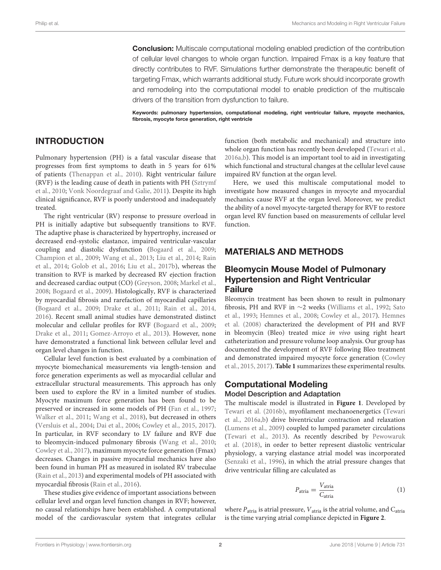**Conclusion:** Multiscale computational modeling enabled prediction of the contribution of cellular level changes to whole organ function. Impaired Fmax is a key feature that directly contributes to RVF. Simulations further demonstrate the therapeutic benefit of targeting Fmax, which warrants additional study. Future work should incorporate growth and remodeling into the computational model to enable prediction of the multiscale drivers of the transition from dysfunction to failure.

Keywords: pulmonary hypertension, computational modeling, right ventricular failure, myoycte mechanics, fibrosis, myocyte force generation, right ventricle

#### INTRODUCTION

Pulmonary hypertension (PH) is a fatal vascular disease that progresses from first symptoms to death in 5 years for 61% of patients (Thenappan et al., 2010). Right ventricular failure (RVF) is the leading cause of death in patients with PH (Sztrymf et al., 2010; Vonk Noordegraaf and Galie, 2011). Despite its high clinical significance, RVF is poorly understood and inadequately treated.

The right ventricular (RV) response to pressure overload in PH is initially adaptive but subsequently transitions to RVF. The adaptive phase is characterized by hypertrophy, increased or decreased end-systolic elastance, impaired ventricular-vascular coupling and diastolic dysfunction (Bogaard et al., 2009; Champion et al., 2009; Wang et al., 2013; Liu et al., 2014; Rain et al., 2014; Golob et al., 2016; Liu et al., 2017b), whereas the transition to RVF is marked by decreased RV ejection fraction and decreased cardiac output (CO) (Greyson, 2008; Markel et al., 2008; Bogaard et al., 2009). Histologically, RVF is characterized by myocardial fibrosis and rarefaction of myocardial capillaries (Bogaard et al., 2009; Drake et al., 2011; Rain et al., 2014, 2016). Recent small animal studies have demonstrated distinct molecular and cellular profiles for RVF (Bogaard et al., 2009; Drake et al., 2011; Gomez-Arroyo et al., 2013). However, none have demonstrated a functional link between cellular level and organ level changes in function.

Cellular level function is best evaluated by a combination of myocyte biomechanical measurements via length-tension and force generation experiments as well as myocardial cellular and extracellular structural measurements. This approach has only been used to explore the RV in a limited number of studies. Myocyte maximum force generation has been found to be preserved or increased in some models of PH (Fan et al., 1997; Walker et al., 2011; Wang et al., 2018), but decreased in others (Versluis et al., 2004; Dai et al., 2006; Cowley et al., 2015, 2017). In particular, in RVF secondary to LV failure and RVF due to bleomycin-induced pulmonary fibrosis (Wang et al., 2010; Cowley et al., 2017), maximum myocyte force generation (Fmax) decreases. Changes in passive myocardial mechanics have also been found in human PH as measured in isolated RV trabeculae (Rain et al., 2013) and experimental models of PH associated with myocardial fibrosis (Rain et al., 2016).

These studies give evidence of important associations between cellular level and organ level function changes in RVF; however, no causal relationships have been established. A computational model of the cardiovascular system that integrates cellular

function (both metabolic and mechanical) and structure into whole organ function has recently been developed (Tewari et al., 2016a,b). This model is an important tool to aid in investigating which functional and structural changes at the cellular level cause impaired RV function at the organ level.

Here, we used this multiscale computational model to investigate how measured changes in myocyte and myocardial mechanics cause RVF at the organ level. Moreover, we predict the ability of a novel myocyte-targeted therapy for RVF to restore organ level RV function based on measurements of cellular level function.

#### MATERIALS AND METHODS

#### Bleomycin Mouse Model of Pulmonary Hypertension and Right Ventricular Failure

Bleomycin treatment has been shown to result in pulmonary fibrosis, PH and RVF in  $\sim$ 2 weeks (Williams et al., 1992; Sato et al., 1993; Hemnes et al., 2008; Cowley et al., 2017). Hemnes et al. (2008) characterized the development of PH and RVF in bleomycin (Bleo) treated mice *in vivo* using right heart catheterization and pressure volume loop analysis. Our group has documented the development of RVF following Bleo treatment and demonstrated impaired myocyte force generation (Cowley et al., 2015, 2017). **Table 1** summarizes these experimental results.

#### Computational Modeling Model Description and Adaptation

The multiscale model is illustrated in **Figure 1**. Developed by Tewari et al. (2016b), myofilament mechanoenergetics (Tewari et al., 2016a,b) drive biventricular contraction and relaxation (Lumens et al., 2009) coupled to lumped parameter circulations (Tewari et al., 2013). As recently described by Pewowaruk et al. (2018), in order to better represent diastolic ventricular physiology, a varying elastance atrial model was incorporated (Senzaki et al., 1996), in which the atrial pressure changes that drive ventricular filling are calculated as

$$
P_{\text{atria}} = \frac{V_{\text{atria}}}{C_{\text{atria}}} \tag{1}
$$

where  $P_{\text{atria}}$  is atrial pressure,  $V_{\text{atria}}$  is the atrial volume, and  $C_{\text{atria}}$ is the time varying atrial compliance depicted in **Figure 2**.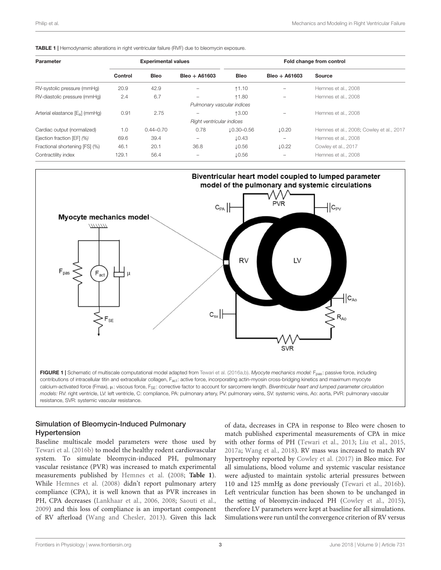|  | <b>TABLE 1</b>   Hemodynamic alterations in right ventricular failure (RVF) due to bleomycin exposure |  |  |
|--|-------------------------------------------------------------------------------------------------------|--|--|
|  |                                                                                                       |  |  |

| Parameter                                   | <b>Experimental values</b> |               |                            | Fold change from control |                   |                                          |  |
|---------------------------------------------|----------------------------|---------------|----------------------------|--------------------------|-------------------|------------------------------------------|--|
|                                             | Control                    | <b>Bleo</b>   | $Bleo + A61603$            | <b>Bleo</b>              | $B$ leo + A61603  | <b>Source</b>                            |  |
| RV-systolic pressure (mmHq)                 | 20.9                       | 42.9          |                            | ↑1.10                    |                   | Hemnes et al., 2008                      |  |
| RV-diastolic pressure (mmHq)                | 2.4                        | 6.7           |                            | ↑1.80                    |                   | Hemnes et al., 2008                      |  |
|                                             |                            |               | Pulmonary vascular indices |                          |                   |                                          |  |
| Arterial elastance [E <sub>a</sub> ] (mmHq) | 0.91                       | 2.75          |                            | ↑3.00                    | -                 | Hemnes et al., 2008                      |  |
|                                             |                            |               | Right ventricular indices  |                          |                   |                                          |  |
| Cardiac output (normalized)                 | 1.0                        | $0.44 - 0.70$ | 0.78                       | $10.30 - 0.56$           | $\downarrow$ 0.20 | Hemnes et al., 2008; Cowley et al., 2017 |  |
| Ejection fraction [EF] (%)                  | 69.6                       | 39.4          |                            | $\downarrow$ 0.43        | -                 | Hemnes et al., 2008                      |  |
| Fractional shortening [FS] (%)              | 46.1                       | 20.1          | 36.8                       | $\downarrow$ 0.56        | $\downarrow$ 0.22 | Cowley et al., 2017                      |  |
| Contractility index                         | 129.1                      | 56.4          |                            | $\downarrow$ 0.56        | -                 | Hemnes et al., 2008                      |  |



#### Simulation of Bleomycin-Induced Pulmonary Hypertension

Baseline multiscale model parameters were those used by Tewari et al. (2016b) to model the healthy rodent cardiovascular system. To simulate bleomycin-induced PH, pulmonary vascular resistance (PVR) was increased to match experimental measurements published by Hemnes et al. (2008; **Table 1**). While Hemnes et al. (2008) didn't report pulmonary artery compliance (CPA), it is well known that as PVR increases in PH, CPA decreases (Lankhaar et al., 2006, 2008; Saouti et al., 2009) and this loss of compliance is an important component of RV afterload (Wang and Chesler, 2013). Given this lack

of data, decreases in CPA in response to Bleo were chosen to match published experimental measurements of CPA in mice with other forms of PH (Tewari et al., 2013; Liu et al., 2015, 2017a; Wang et al., 2018). RV mass was increased to match RV hypertrophy reported by Cowley et al. (2017) in Bleo mice. For all simulations, blood volume and systemic vascular resistance were adjusted to maintain systolic arterial pressures between 110 and 125 mmHg as done previously (Tewari et al., 2016b). Left ventricular function has been shown to be unchanged in the setting of bleomycin-induced PH (Cowley et al., 2015), therefore LV parameters were kept at baseline for all simulations. Simulations were run until the convergence criterion of RV versus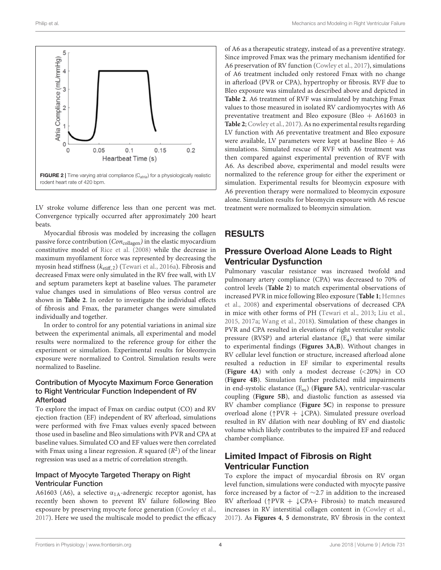

LV stroke volume difference less than one percent was met. Convergence typically occurred after approximately 200 heart beats.

Myocardial fibrosis was modeled by increasing the collagen passive force contribution (*Con*collagen*)* in the elastic myocardium constitutive model of Rice et al. (2008) while the decrease in maximum myofilament force was represented by decreasing the myosin head stiffness ( $k_{\text{stiff},2}$ ) (Tewari et al., 2016a). Fibrosis and decreased Fmax were only simulated in the RV free wall, with LV and septum parameters kept at baseline values. The parameter value changes used in simulations of Bleo versus control are shown in **Table 2**. In order to investigate the individual effects of fibrosis and Fmax, the parameter changes were simulated individually and together.

In order to control for any potential variations in animal size between the experimental animals, all experimental and model results were normalized to the reference group for either the experiment or simulation. Experimental results for bleomycin exposure were normalized to Control. Simulation results were normalized to Baseline.

#### Contribution of Myocyte Maximum Force Generation to Right Ventricular Function Independent of RV Afterload

To explore the impact of Fmax on cardiac output (CO) and RV ejection fraction (EF) independent of RV afterload, simulations were performed with five Fmax values evenly spaced between those used in baseline and Bleo simulations with PVR and CPA at baseline values. Simulated CO and EF values were then correlated with Fmax using a linear regression. *R* squared (*R*2) of the linear regression was used as a metric of correlation strength.

#### Impact of Myocyte Targeted Therapy on Right Ventricular Function

A61603 (A6), a selective  $\alpha_{1A}$ -adrenergic receptor agonist, has recently been shown to prevent RV failure following Bleo exposure by preserving myocyte force generation (Cowley et al., 2017). Here we used the multiscale model to predict the efficacy of A6 as a therapeutic strategy, instead of as a preventive strategy. Since improved Fmax was the primary mechanism identified for A6 preservation of RV function (Cowley et al., 2017), simulations of A6 treatment included only restored Fmax with no change in afterload (PVR or CPA), hypertrophy or fibrosis. RVF due to Bleo exposure was simulated as described above and depicted in **Table 2**. A6 treatment of RVF was simulated by matching Fmax values to those measured in isolated RV cardiomyocytes with A6 preventative treatment and Bleo exposure (Bleo + A61603 in **Table 2**; Cowley et al., 2017). As no experimental results regarding LV function with A6 preventative treatment and Bleo exposure were available, LV parameters were kept at baseline Bleo  $+$  A6 simulations. Simulated rescue of RVF with A6 treatment was then compared against experimental prevention of RVF with A6. As described above, experimental and model results were normalized to the reference group for either the experiment or simulation. Experimental results for bleomycin exposure with A6 prevention therapy were normalized to bleomycin exposure alone. Simulation results for bleomycin exposure with A6 rescue treatment were normalized to bleomycin simulation.

### RESULTS

# Pressure Overload Alone Leads to Right Ventricular Dysfunction

Pulmonary vascular resistance was increased twofold and pulmonary artery compliance (CPA) was decreased to 70% of control levels (**Table 2**) to match experimental observations of increased PVR in mice following Bleo exposure (**Table 1**; Hemnes et al., 2008) and experimental observations of decreased CPA in mice with other forms of PH (Tewari et al., 2013; Liu et al., 2015, 2017a; Wang et al., 2018). Simulation of these changes in PVR and CPA resulted in elevations of right ventricular systolic pressure (RVSP) and arterial elastance  $(E_a)$  that were similar to experimental findings (**Figures 3A,B**). Without changes in RV cellular level function or structure, increased afterload alone resulted a reduction in EF similar to experimental results (**Figure 4A**) with only a modest decrease (*<*20%) in CO (**Figure 4B**). Simulation further predicted mild impairments in end-systolic elastance (E<sub>es</sub>) (Figure 5A), ventricular-vascular coupling (**Figure 5B**), and diastolic function as assessed via RV chamber compliance (**Figure 5C**) in response to pressure overload alone ( $\uparrow$ PVR +  $\downarrow$ CPA). Simulated pressure overload resulted in RV dilation with near doubling of RV end diastolic volume which likely contributes to the impaired EF and reduced chamber compliance.

# Limited Impact of Fibrosis on Right Ventricular Function

To explore the impact of myocardial fibrosis on RV organ level function, simulations were conducted with myocyte passive force increased by a factor of  $\sim$ 2.7 in addition to the increased RV afterload ( $\uparrow$ PVR +  $\downarrow$ CPA+ Fibrosis) to match measured increases in RV interstitial collagen content in (Cowley et al., 2017). As **Figures 4**, **5** demonstrate, RV fibrosis in the context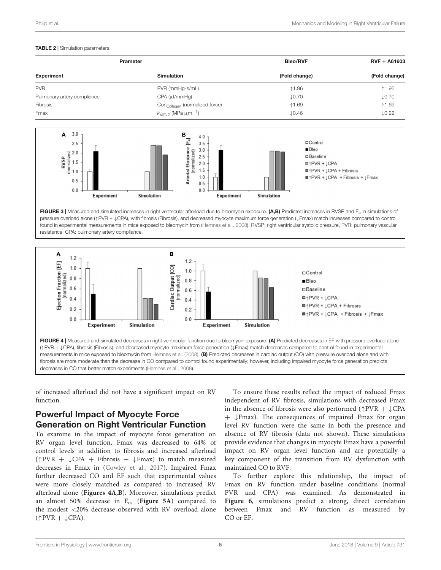#### TABLE 2 | Simulation parameters.

|                             | <b>Prameter</b>                                   | <b>Bleo/RVF</b>   | $RVF + A61603$<br>(Fold change) |
|-----------------------------|---------------------------------------------------|-------------------|---------------------------------|
| <b>Experiment</b>           | <b>Simulation</b>                                 | (Fold change)     |                                 |
| <b>PVR</b>                  | PVR (mmHg-s/mL)                                   | ↑1.96             | ↑1.96                           |
| Pulmonary artery compliance | $CPA (\mu VmmHg)$                                 | $\downarrow$ 0.70 | $\downarrow$ 0.70               |
| Fibrosis                    | Con <sub>Collagan</sub> (normalized force)        | ↑1.69             | ↑1.69                           |
| Fmax                        | $k_{\text{stiff},2}$ (MPa $\mu$ m <sup>-1</sup> ) | $\downarrow$ 0.46 | $\downarrow$ 0.22               |



FIGURE 3 | Measured and simulated increases in right ventricular afterload due to bleomycin exposure. (A,B) Predicted increases in RVSP and  $E_a$  in simulations of pressure overload alone (1PVR +  $\downarrow$ CPA), with fibrosis (Fibrosis), and decreased myocyte maximum force generation ( $\downarrow$ Fmax) match increases compared to control found in experimental measurements in mice exposed to bleomycin from (Hemnes et al., 2008). RVSP: right ventricular systolic pressure, PVR: pulmonary vascular resistance, CPA: pulmonary artery compliance.



of increased afterload did not have a significant impact on RV function.

### Powerful Impact of Myocyte Force Generation on Right Ventricular Function

To examine in the impact of myocyte force generation on RV organ level function, Fmax was decreased to 64% of control levels in addition to fibrosis and increased afterload  $(\uparrow PVR + \downarrow CPA + Fibrosis + \downarrow Fmax)$  to match measured decreases in Fmax in (Cowley et al., 2017). Impaired Fmax further decreased CO and EF such that experimental values were more closely matched as compared to increased RV afterload alone (**Figures 4A,B**). Moreover, simulations predict an almost 50% decrease in Ees (**Figure 5A**) compared to the modest *<*20% decrease observed with RV overload alone  $(\uparrow$ PVR +  $\downarrow$ CPA).

To ensure these results reflect the impact of reduced Fmax independent of RV fibrosis, simulations with decreased Fmax in the absence of fibrosis were also performed ( $\uparrow$ PVR +  $\downarrow$ CPA  $+$   $\downarrow$  Fmax). The consequences of impaired Fmax for organ level RV function were the same in both the presence and absence of RV fibrosis (data not shown). These simulations provide evidence that changes in myocyte Fmax have a powerful impact on RV organ level function and are potentially a key component of the transition from RV dysfunction with maintained CO to RVF.

To further explore this relationship, the impact of Fmax on RV function under baseline conditions (normal PVR and CPA) was examined. As demonstrated in **Figure 6**, simulations predict a strong, direct correlation between Fmax and RV function as measured by CO or EF.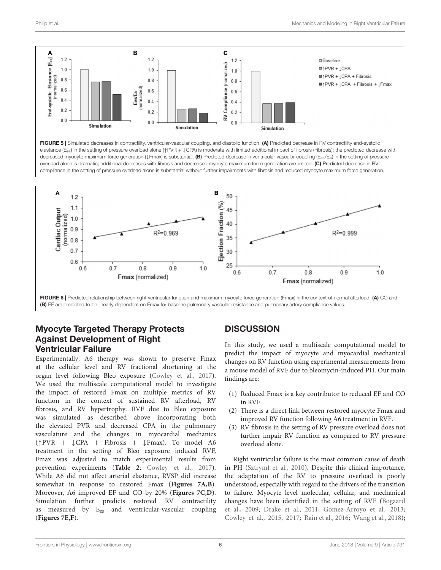





### Myocyte Targeted Therapy Protects Against Development of Right Ventricular Failure

Experimentally, A6 therapy was shown to preserve Fmax at the cellular level and RV fractional shortening at the organ level following Bleo exposure (Cowley et al., 2017). We used the multiscale computational model to investigate the impact of restored Fmax on multiple metrics of RV function in the context of sustained RV afterload, RV fibrosis, and RV hypertrophy. RVF due to Bleo exposure was simulated as described above incorporating both the elevated PVR and decreased CPA in the pulmonary vasculature and the changes in myocardial mechanics ( $\uparrow$ PVR +  $\downarrow$ CPA + Fibrosis +  $\downarrow$ Fmax). To model A6 treatment in the setting of Bleo exposure induced RVF, Fmax was adjusted to match experimental results from prevention experiments (**Table 2**; Cowley et al., 2017). While A6 did not affect arterial elastance, RVSP did increase somewhat in response to restored Fmax (**Figures 7A,B**). Moreover, A6 improved EF and CO by 20% (**Figures 7C,D**). Simulation further predicts restored RV contractility as measured by E<sub>es</sub> and ventricular-vascular coupling (**Figures 7E,F**).

# **DISCUSSION**

In this study, we used a multiscale computational model to predict the impact of myocyte and myocardial mechanical changes on RV function using experimental measurements from a mouse model of RVF due to bleomycin-induced PH. Our main findings are:

- (1) Reduced Fmax is a key contributor to reduced EF and CO in RVF.
- (2) There is a direct link between restored myocyte Fmax and improved RV function following A6 treatment in RVF.
- (3) RV fibrosis in the setting of RV pressure overload does not further impair RV function as compared to RV pressure overload alone.

Right ventricular failure is the most common cause of death in PH (Sztrymf et al., 2010). Despite this clinical importance, the adaptation of the RV to pressure overload is poorly understood, especially with regard to the drivers of the transition to failure. Myocyte level molecular, cellular, and mechanical changes have been identified in the setting of RVF (Bogaard et al., 2009; Drake et al., 2011; Gomez-Arroyo et al., 2013; Cowley et al., 2015, 2017; Rain et al., 2016; Wang et al., 2018);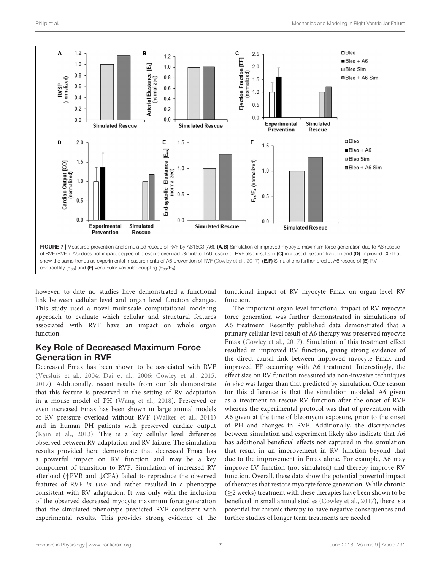

however, to date no studies have demonstrated a functional link between cellular level and organ level function changes. This study used a novel multiscale computational modeling approach to evaluate which cellular and structural features associated with RVF have an impact on whole organ function.

# Key Role of Decreased Maximum Force Generation in RVF

Decreased Fmax has been shown to be associated with RVF (Versluis et al., 2004; Dai et al., 2006; Cowley et al., 2015, 2017). Additionally, recent results from our lab demonstrate that this feature is preserved in the setting of RV adaptation in a mouse model of PH (Wang et al., 2018). Preserved or even increased Fmax has been shown in large animal models of RV pressure overload without RVF (Walker et al., 2011) and in human PH patients with preserved cardiac output (Rain et al., 2013). This is a key cellular level difference observed between RV adaptation and RV failure. The simulation results provided here demonstrate that decreased Fmax has a powerful impact on RV function and may be a key component of transition to RVF. Simulation of increased RV afterload ( $\uparrow$ PVR and  $\downarrow$ CPA) failed to reproduce the observed features of RVF *in vivo* and rather resulted in a phenotype consistent with RV adaptation. It was only with the inclusion of the observed decreased myocyte maximum force generation that the simulated phenotype predicted RVF consistent with experimental results. This provides strong evidence of the

functional impact of RV myocyte Fmax on organ level RV function.

The important organ level functional impact of RV myocyte force generation was further demonstrated in simulations of A6 treatment. Recently published data demonstrated that a primary cellular level result of A6 therapy was preserved myocyte Fmax (Cowley et al., 2017). Simulation of this treatment effect resulted in improved RV function, giving strong evidence of the direct causal link between improved myocyte Fmax and improved EF occurring with A6 treatment. Interestingly, the effect size on RV function measured via non-invasive techniques *in vivo* was larger than that predicted by simulation. One reason for this difference is that the simulation modeled A6 given as a treatment to rescue RV function after the onset of RVF whereas the experimental protocol was that of prevention with A6 given at the time of bleomycin exposure, prior to the onset of PH and changes in RVF. Additionally, the discrepancies between simulation and experiment likely also indicate that A6 has additional beneficial effects not captured in the simulation that result in an improvement in RV function beyond that due to the improvement in Fmax alone. For example, A6 may improve LV function (not simulated) and thereby improve RV function. Overall, these data show the potential powerful impact of therapies that restore myocyte force generation. While chronic  $(\geq 2$  weeks) treatment with these therapies have been shown to be beneficial in small animal studies (Cowley et al., 2017), there is a potential for chronic therapy to have negative consequences and further studies of longer term treatments are needed.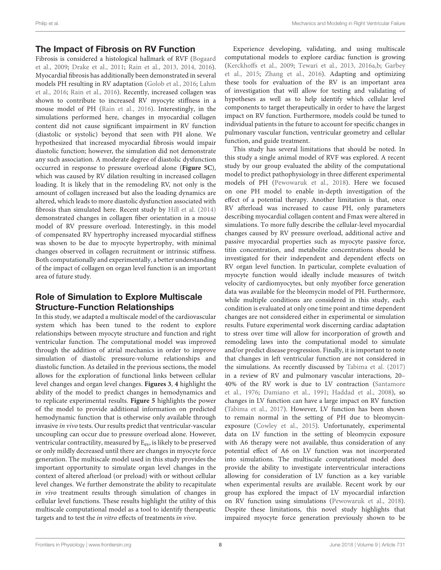#### The Impact of Fibrosis on RV Function

Fibrosis is considered a histological hallmark of RVF (Bogaard et al., 2009; Drake et al., 2011; Rain et al., 2013, 2014, 2016). Myocardial fibrosis has additionally been demonstrated in several models PH resulting in RV adaptation (Golob et al., 2016; Lahm et al., 2016; Rain et al., 2016). Recently, increased collagen was shown to contribute to increased RV myocyte stiffness in a mouse model of PH (Rain et al., 2016). Interestingly, in the simulations performed here, changes in myocardial collagen content did not cause significant impairment in RV function (diastolic or systolic) beyond that seen with PH alone. We hypothesized that increased myocardial fibrosis would impair diastolic function; however, the simulation did not demonstrate any such association. A moderate degree of diastolic dysfunction occurred in response to pressure overload alone (**Figure 5C**), which was caused by RV dilation resulting in increased collagen loading. It is likely that in the remodeling RV, not only is the amount of collagen increased but also the loading dynamics are altered, which leads to more diastolic dysfunction associated with fibrosis than simulated here. Recent study by Hill et al. (2014) demonstrated changes in collagen fiber orientation in a mouse model of RV pressure overload. Interestingly, in this model of compensated RV hypertrophy increased myocardial stiffness was shown to be due to myocyte hypertrophy, with minimal changes observed in collagen recruitment or intrinsic stiffness. Both computationally and experimentally, a better understanding of the impact of collagen on organ level function is an important area of future study.

### Role of Simulation to Explore Multiscale Structure-Function Relationships

In this study, we adapted a multiscale model of the cardiovascular system which has been tuned to the rodent to explore relationships between myocyte structure and function and right ventricular function. The computational model was improved through the addition of atrial mechanics in order to improve simulation of diastolic pressure-volume relationships and diastolic function. As detailed in the previous sections, the model allows for the exploration of functional links between cellular level changes and organ level changes. **Figures 3**, **4** highlight the ability of the model to predict changes in hemodynamics and to replicate experimental results. **Figure 5** highlights the power of the model to provide additional information on predicted hemodynamic function that is otherwise only available through invasive *in vivo* tests. Our results predict that ventricular-vascular uncoupling can occur due to pressure overload alone. However, ventricular contractility, measured by E<sub>es</sub>, is likely to be preserved or only mildly decreased until there are changes in myocyte force generation. The multiscale model used in this study provides the important opportunity to simulate organ level changes in the context of altered afterload (or preload) with or without cellular level changes. We further demonstrate the ability to recapitulate *in vivo* treatment results through simulation of changes in cellular level functions. These results highlight the utility of this multiscale computational model as a tool to identify therapeutic targets and to test the *in vitro* effects of treatments *in vivo*.

Experience developing, validating, and using multiscale computational models to explore cardiac function is growing (Kerckhoffs et al., 2009; Tewari et al., 2013, 2016a,b; Garbey et al., 2015; Zhang et al., 2016). Adapting and optimizing these tools for evaluation of the RV is an important area of investigation that will allow for testing and validating of hypotheses as well as to help identify which cellular level components to target therapeutically in order to have the largest impact on RV function. Furthermore, models could be tuned to individual patients in the future to account for specific changes in pulmonary vascular function, ventricular geometry and cellular function, and guide treatment.

This study has several limitations that should be noted. In this study a single animal model of RVF was explored. A recent study by our group evaluated the ability of the computational model to predict pathophysiology in three different experimental models of PH (Pewowaruk et al., 2018). Here we focused on one PH model to enable in-depth investigation of the effect of a potential therapy. Another limitation is that, once RV afterload was increased to cause PH, only parameters describing myocardial collagen content and Fmax were altered in simulations. To more fully describe the cellular-level myocardial changes caused by RV pressure overload, additional active and passive myocardial properties such as myocyte passive force, titin concentration, and metabolite concentrations should be investigated for their independent and dependent effects on RV organ level function. In particular, complete evaluation of myocyte function would ideally include measures of twitch velocity of cardiomyocytes, but only myofiber force generation data was available for the bleomycin model of PH. Furthermore, while multiple conditions are considered in this study, each condition is evaluated at only one time point and time dependent changes are not considered either in experimental or simulation results. Future experimental work discerning cardiac adaptation to stress over time will allow for incorporation of growth and remodeling laws into the computational model to simulate and/or predict disease progression. Finally, it is important to note that changes in left ventricular function are not considered in the simulations. As recently discussed by Tabima et al. (2017) in a review of RV and pulmonary vascular interactions, 20– 40% of the RV work is due to LV contraction (Santamore et al., 1976; Damiano et al., 1991; Haddad et al., 2008), so changes in LV function can have a large impact on RV function (Tabima et al., 2017). However, LV function has been shown to remain normal in the setting of PH due to bleomycinexposure (Cowley et al., 2015). Unfortunately, experimental data on LV function in the setting of bleomycin exposure with A6 therapy were not available, thus consideration of any potential effect of A6 on LV function was not incorporated into simulations. The multiscale computational model does provide the ability to investigate interventricular interactions allowing for consideration of LV function as a key variable when experimental results are available. Recent work by our group has explored the impact of LV myocardial infarction on RV function using simulations (Pewowaruk et al., 2018). Despite these limitations, this novel study highlights that impaired myocyte force generation previously shown to be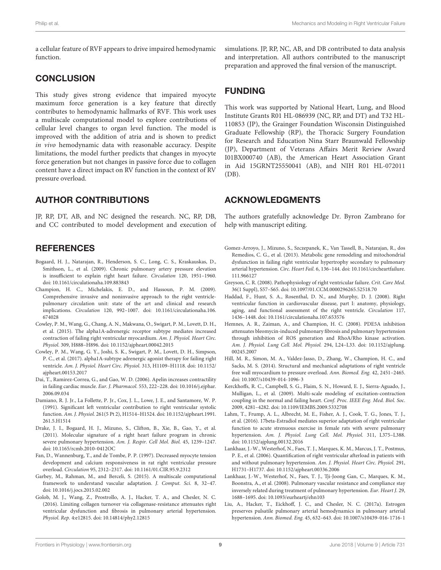a cellular feature of RVF appears to drive impaired hemodynamic function.

### **CONCLUSION**

This study gives strong evidence that impaired myocyte maximum force generation is a key feature that directly contributes to hemodynamic hallmarks of RVF. This work uses a multiscale computational model to explore contributions of cellular level changes to organ level function. The model is improved with the addition of atria and is shown to predict *in vivo* hemodynamic data with reasonable accuracy. Despite limitations, the model further predicts that changes in myocyte force generation but not changes in passive force due to collagen content have a direct impact on RV function in the context of RV pressure overload.

# AUTHOR CONTRIBUTIONS

JP, RP, DT, AB, and NC designed the research. NC, RP, DB, and CC contributed to model development and execution of

# **REFERENCES**

- Bogaard, H. J., Natarajan, R., Henderson, S. C., Long, C. S., Kraskauskas, D., Smithson, L., et al. (2009). Chronic pulmonary artery pressure elevation is insufficient to explain right heart failure. *Circulation* 120, 1951-1960. doi: 10.1161/circulationaha.109.883843
- Champion, H. C., Michelakis, E. D., and Hassoun, P. M. (2009). Comprehensive invasive and noninvasive approach to the right ventriclepulmonary circulation unit: state of the art and clinical and research implications. *Circulation* 120, 992–1007. doi: 10.1161/circulationaha.106. 674028
- Cowley, P. M., Wang, G., Chang, A. N., Makwana, O., Swigart, P. M., Lovett, D. H., et al. (2015). The alpha1A-adrenergic receptor subtype mediates increased contraction of failing right ventricular myocardium. *Am. J. Physiol. Heart Circ. Physiol.* 309, H888–H896. doi: 10.1152/ajpheart.00042.2015
- Cowley, P. M., Wang, G. Y., Joshi, S. K., Swigart, P. M., Lovett, D. H., Simpson, P. C., et al. (2017). alpha1A-subtype adrenergic agonist therapy for failing right ventricle. *Am. J. Physiol. Heart Circ. Physiol.* 313, H1109–H1118. doi: 10.1152/ ajpheart.00153.2017
- Dai, T., Ramirez-Correa, G., and Gao, W. D. (2006). Apelin increases contractility in failing cardiac muscle. *Eur. J. Pharmacol.* 553, 222–228. doi: 10.1016/j.ejphar. 2006.09.034
- Damiano, R. J. Jr., La Follette, P. Jr., Cox, J. L., Lowe, J. E., and Santamore, W. P. (1991). Significant left ventricular contribution to right ventricular systolic function. *Am. J. Physiol.* 261(5 Pt 2), H1514–H1524. doi: 10.1152/ajpheart.1991. 261.5.H1514
- Drake, J. I., Bogaard, H. J., Mizuno, S., Clifton, B., Xie, B., Gao, Y., et al. (2011). Molecular signature of a right heart failure program in chronic severe pulmonary hypertension. *Am. J. Respir. Cell Mol. Biol.* 45, 1239–1247. doi: 10.1165/rcmb.2010-0412OC
- Fan, D., Wannenburg, T., and de Tombe, P. P. (1997). Decreased myocyte tension development and calcium responsiveness in rat right ventricular pressure overload. *Circulation* 95, 2312–2317. doi: 10.1161/01.CIR.95.9.2312
- Garbey, M., Rahman, M., and Berceli, S. (2015). A multiscale computational framework to understand vascular adaptation. *J. Comput. Sci.* 8, 32–47. doi: 10.1016/j.jocs.2015.02.002
- Golob, M. J., Wang, Z., Prostrollo, A. J., Hacker, T. A., and Chesler, N. C. (2016). Limiting collagen turnover via collagenase-resistance attenuates right ventricular dysfunction and fibrosis in pulmonary arterial hypertension. *Physiol. Rep.* 4:e12815. doi: 10.14814/phy2.12815

simulations. JP, RP, NC, AB, and DB contributed to data analysis and interpretation. All authors contributed to the manuscript preparation and approved the final version of the manuscript.

# FUNDING

This work was supported by National Heart, Lung, and Blood Institute Grants R01 HL-086939 (NC, RP, and DT) and T32 HL-110853 (JP), the Grainger Foundation Wisconsin Distinguished Graduate Fellowship (RP), the Thoracic Surgery Foundation for Research and Education Nina Starr Braunwald Fellowship (JP), Department of Veterans Affairs Merit Review Award I01BX000740 (AB), the American Heart Association Grant in Aid 15GRNT25550041 (AB), and NIH R01 HL-072011 (DB).

### ACKNOWLEDGMENTS

The authors gratefully acknowledge Dr. Byron Zambrano for help with manuscript editing.

- Gomez-Arroyo, J., Mizuno, S., Szczepanek, K., Van Tassell, B., Natarajan, R., dos Remedios, C. G., et al. (2013). Metabolic gene remodeling and mitochondrial dysfunction in failing right ventricular hypertrophy secondary to pulmonary arterial hypertension. *Circ. Heart Fail.* 6, 136–144. doi: 10.1161/circheartfailure. 111.966127
- Greyson, C. R. (2008). Pathophysiology of right ventricular failure. *Crit. Care Med.* 36(1 Suppl), S57–S65. doi: 10.1097/01.CCM.0000296265.52518.70
- Haddad, F., Hunt, S. A., Rosenthal, D. N., and Murphy, D. J. (2008). Right ventricular function in cardiovascular disease, part I: anatomy, physiology, aging, and functional assessment of the right ventricle. *Circulation* 117, 1436–1448. doi: 10.1161/circulationaha.107.653576
- Hemnes, A. R., Zaiman, A., and Champion, H. C. (2008). PDE5A inhibition attenuates bleomycin-induced pulmonary fibrosis and pulmonary hypertension through inhibition of ROS generation and RhoA/Rho kinase activation. *Am. J. Physiol. Lung Cell. Mol. Physiol.* 294, L24–L33. doi: 10.1152/ajplung. 00245.2007
- Hill, M. R., Simon, M. A., Valdez-Jasso, D., Zhang, W., Champion, H. C., and Sacks, M. S. (2014). Structural and mechanical adaptations of right ventricle free wall myocardium to pressure overload. *Ann. Biomed. Eng.* 42, 2451–2465. doi: 10.1007/s10439-014-1096-3
- Kerckhoffs, R. C., Campbell, S. G., Flaim, S. N., Howard, E. J., Sierra-Aguado, J., Mulligan, L., et al. (2009). Multi-scale modeling of excitation-contraction coupling in the normal and failing heart. *Conf. Proc. IEEE Eng. Med. Biol. Soc*. 2009, 4281–4282. doi: 10.1109/IEMBS.2009.5332708
- Lahm, T., Frump, A. L., Albrecht, M. E., Fisher, A. J., Cook, T. G., Jones, T. J., et al. (2016). 17beta-Estradiol mediates superior adaptation of right ventricular function to acute strenuous exercise in female rats with severe pulmonary hypertension. *Am. J. Physiol. Lung Cell. Mol. Physiol.* 311, L375–L388. doi: 10.1152/ajplung.00132.2016
- Lankhaar, J.-W., Westerhof, N., Faes, T. J., Marques, K. M., Marcus, J. T., Postmus, P. E., et al. (2006). Quantification of right ventricular afterload in patients with and without pulmonary hypertension. *Am. J. Physiol. Heart Circ. Physiol.* 291, H1731–H1737. doi: 10.1152/ajpheart.00336.2006
- Lankhaar, J.-W., Westerhof, N., Faes, T. J., Tji-Joong Gan, C., Marques, K. M., Boonstra, A., et al. (2008). Pulmonary vascular resistance and compliance stay inversely related during treatment of pulmonary hypertension. *Eur. Heart J.* 29, 1688–1695. doi: 10.1093/eurheartj/ehn103
- Liu, A., Hacker, T., Eickhoff, J. C., and Chesler, N. C. (2017a). Estrogen preserves pulsatile pulmonary arterial hemodynamics in pulmonary arterial hypertension. *Ann. Biomed. Eng.* 45, 632–643. doi: 10.1007/s10439-016-1716-1